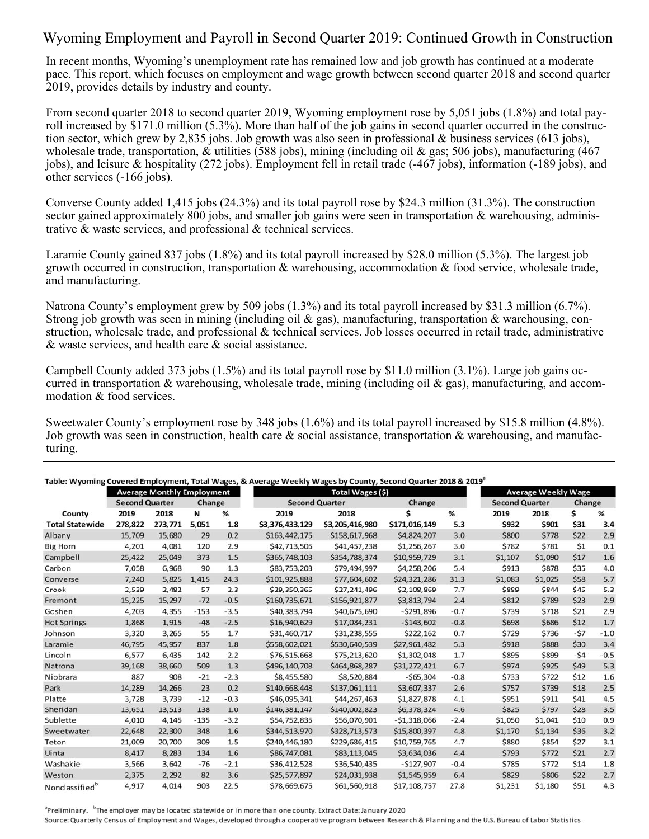## Wyoming Employment and Payroll in Second Quarter 2019: Continued Growth in Construction

In recent months, Wyoming's unemployment rate has remained low and job growth has continued at a moderate pace. This report, which focuses on employment and wage growth between second quarter 2018 and second quarter 2019, provides details by industry and county.

From second quarter 2018 to second quarter 2019, Wyoming employment rose by 5,051 jobs (1.8%) and total payroll increased by \$171.0 million (5.3%). More than half of the job gains in second quarter occurred in the construction sector, which grew by 2,835 jobs. Job growth was also seen in professional & business services (613 jobs), wholesale trade, transportation, & utilities (588 jobs), mining (including oil & gas; 506 jobs), manufacturing (467 jobs), and leisure & hospitality (272 jobs). Employment fell in retail trade (-467 jobs), information (-189 jobs), and other services (-166 jobs).

Converse County added 1,415 jobs (24.3%) and its total payroll rose by \$24.3 million (31.3%). The construction sector gained approximately 800 jobs, and smaller job gains were seen in transportation  $\&$  warehousing, administrative & waste services, and professional & technical services.

Laramie County gained 837 jobs (1.8%) and its total payroll increased by \$28.0 million (5.3%). The largest job growth occurred in construction, transportation & warehousing, accommodation & food service, wholesale trade, and manufacturing.

Natrona County's employment grew by 509 jobs (1.3%) and its total payroll increased by \$31.3 million (6.7%). Strong job growth was seen in mining (including oil  $\&$  gas), manufacturing, transportation  $\&$  warehousing, construction, wholesale trade, and professional & technical services. Job losses occurred in retail trade, administrative & waste services, and health care & social assistance.

Campbell County added 373 jobs (1.5%) and its total payroll rose by \$11.0 million (3.1%). Large job gains occurred in transportation & warehousing, wholesale trade, mining (including oil & gas), manufacturing, and accommodation & food services.

Sweetwater County's employment rose by 348 jobs (1.6%) and its total payroll increased by \$15.8 million (4.8%). Job growth was seen in construction, health care  $\&$  social assistance, transportation  $\&$  warehousing, and manufacturing.

|                        | <b>Average Monthly Employment</b> |         |        |        | Total Wages (\$)      |                 |               |        | <b>Average Weekly Wage</b> |         |        |        |
|------------------------|-----------------------------------|---------|--------|--------|-----------------------|-----------------|---------------|--------|----------------------------|---------|--------|--------|
|                        | <b>Second Quarter</b>             |         | Change |        | <b>Second Quarter</b> |                 | Change        |        | <b>Second Quarter</b>      |         | Change |        |
| County                 | 2019                              | 2018    | N      | %      | 2019                  | 2018            |               | %      | 2019                       | 2018    | \$     | %      |
| <b>Total Statewide</b> | 278,822                           | 273,771 | 5,051  | 1.8    | \$3,376,433,129       | \$3,205,416,980 | \$171,016,149 | 5.3    | \$932                      | \$901   | \$31   | 3.4    |
| Albany                 | 15,709                            | 15,680  | 29     | 0.2    | \$163,442,175         | \$158,617,968   | \$4,824,207   | 3.0    | \$800                      | \$778   | \$22   | 2.9    |
| <b>Big Horn</b>        | 4,201                             | 4,081   | 120    | 2.9    | \$42,713,505          | \$41,457,238    | \$1,256,267   | 3.0    | \$782                      | \$781   | \$1    | 0.1    |
| Campbell               | 25,422                            | 25,049  | 373    | 1.5    | \$365,748,103         | \$354,788,374   | \$10,959,729  | 3.1    | \$1,107                    | \$1,090 | \$17   | $1.6$  |
| Carbon                 | 7,058                             | 6,968   | 90     | 1.3    | \$83,753,203          | \$79,494,997    | \$4,258,206   | 5.4    | \$913                      | \$878   | \$35   | 4.0    |
| Converse               | 7,240                             | 5,825   | 1,415  | 24.3   | \$101,925,888         | \$77,604,602    | \$24,321,286  | 31.3   | \$1,083                    | \$1,025 | \$58   | 5.7    |
| Crook                  | 2,539                             | 2,482   | 57     | 2.3    | \$29,350,365          | \$27,241,496    | \$2,108,869   | 7.7    | \$889                      | \$844   | \$45   | 5.3    |
| Fremont                | 15,225                            | 15,297  | $-72$  | $-0.5$ | \$160,735,671         | \$156,921,877   | \$3,813,794   | 2.4    | \$812                      | \$789   | \$23   | 2.9    |
| Goshen                 | 4,203                             | 4,355   | $-153$ | $-3.5$ | \$40,383,794          | \$40,675,690    | $-5291,896$   | $-0.7$ | \$739                      | \$718   | \$21   | 2.9    |
| <b>Hot Springs</b>     | 1,868                             | 1,915   | $-48$  | $-2.5$ | \$16,940,629          | \$17,084,231    | $-5143,602$   | $-0.8$ | \$698                      | \$686   | \$12   | 1.7    |
| Johnson                | 3,320                             | 3,265   | 55     | 1.7    | \$31,460,717          | \$31,238,555    | \$222,162     | 0.7    | \$729                      | \$736   | $-57$  | $-1.0$ |
| Laramie                | 46,795                            | 45,957  | 837    | 1.8    | \$558,602,021         | \$530,640,539   | \$27,961,482  | 5.3    | <b>\$918</b>               | \$888   | \$30   | 3.4    |
| Lincoln                | 6,577                             | 6,435   | 142    | 2.2    | \$76,515,668          | \$75,213,620    | \$1,302,048   | 1.7    | \$895                      | \$899   | $-54$  | $-0.5$ |
| Natrona                | 39,168                            | 38,660  | 509    | 1.3    | \$496,140,708         | \$464,868,287   | \$31,272,421  | 6.7    | \$974                      | \$925   | \$49   | 5.3    |
| Niobrara               | 887                               | 908     | $-21$  | $-2.3$ | \$8,455,580           | \$8,520,884     | $-565,304$    | $-0.8$ | \$733                      | \$722   | \$12   | 1.6    |
| Park                   | 14,289                            | 14,266  | 23     | 0.2    | \$140,668,448         | \$137,061,111   | \$3,607,337   | 2.6    | \$757                      | \$739   | \$18   | 2.5    |
| Platte                 | 3,728                             | 3,739   | $-12$  | $-0.3$ | \$46,095,341          | \$44,267,463    | \$1,827,878   | 4.1    | \$951                      | \$911   | \$41   | 4.5    |
| Sheridan               | 13,651                            | 13,513  | 138    | 1.0    | \$146,381,147         | \$140,002,823   | \$6,378,324   | 4.6    | \$825                      | \$797   | \$28   | 3.5    |
| Sublette               | 4,010                             | 4,145   | $-135$ | $-3.2$ | \$54,752,835          | \$56,070,901    | $-$1,318,066$ | $-2.4$ | \$1,050                    | \$1,041 | \$10   | 0.9    |
| Sweetwater             | 22,648                            | 22,300  | 348    | 1.6    | \$344,513,970         | \$328,713,573   | \$15,800,397  | 4.8    | \$1,170                    | \$1,134 | \$36   | 3.2    |
| Teton                  | 21,009                            | 20,700  | 309    | 1.5    | \$240,446,180         | \$229,686,415   | \$10,759,765  | 4.7    | \$880                      | \$854   | \$27   | 3.1    |
| Uinta                  | 8,417                             | 8,283   | 134    | 1.6    | \$86,747,081          | \$83,113,045    | \$3,634,036   | 4.4    | \$793                      | \$772   | \$21   | 2.7    |
| Washakie               | 3,566                             | 3,642   | $-76$  | $-2.1$ | \$36,412,528          | \$36,540,435    | $-5127,907$   | $-0.4$ | \$785                      | \$772   | \$14   | 1.8    |
| Weston                 | 2,375                             | 2,292   | 82     | 3.6    | \$25,577,897          | \$24,031,938    | \$1,545,959   | 6.4    | \$829                      | \$806   | \$22   | 2.7    |
| Nonclassifiedb         | 4,917                             | 4,014   | 903    | 22.5   | \$78,669,675          | \$61,560,918    | \$17,108,757  | 27.8   | \$1,231                    | \$1,180 | \$51   | 4.3    |

<sup>a</sup>Preliminary. <sup>b</sup>The employer may be located statewide or in more than one county. Extract Date: January 2020

Source: Quarterly Census of Employment and Wages, developed through a cooperative program between Research & Planning and the U.S. Bureau of Labor Statistics.